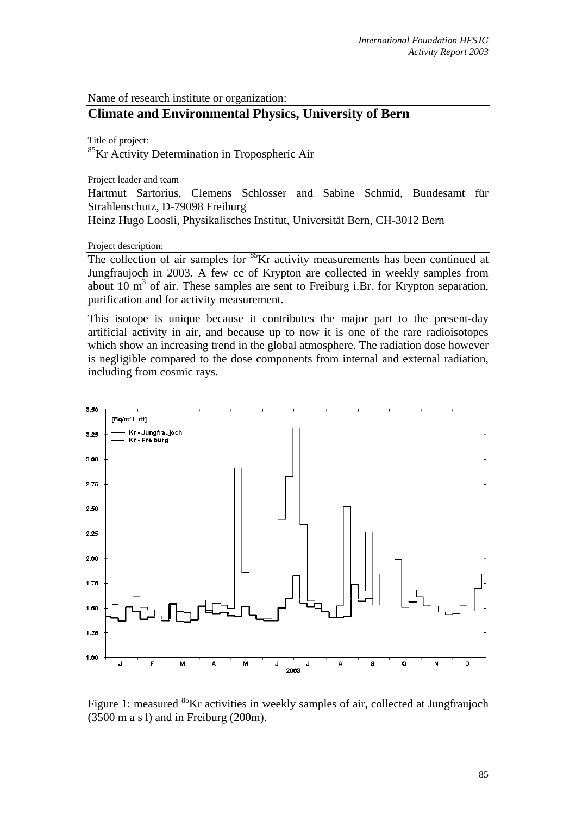Name of research institute or organization:

## **Climate and Environmental Physics, University of Bern**

Title of project:

<sup>85</sup>Kr Activity Determination in Tropospheric Air

Project leader and team

Hartmut Sartorius, Clemens Schlosser and Sabine Schmid, Bundesamt für Strahlenschutz, D-79098 Freiburg

Heinz Hugo Loosli, Physikalisches Institut, Universität Bern, CH-3012 Bern

Project description:

The collection of air samples for <sup>85</sup>Kr activity measurements has been continued at Jungfraujoch in 2003. A few cc of Krypton are collected in weekly samples from about 10  $\text{m}^3$  of air. These samples are sent to Freiburg i.Br. for Krypton separation, purification and for activity measurement.

This isotope is unique because it contributes the major part to the present-day artificial activity in air, and because up to now it is one of the rare radioisotopes which show an increasing trend in the global atmosphere. The radiation dose however is negligible compared to the dose components from internal and external radiation, including from cosmic rays.



Figure 1: measured <sup>85</sup>Kr activities in weekly samples of air, collected at Jungfraujoch (3500 m a s l) and in Freiburg (200m).